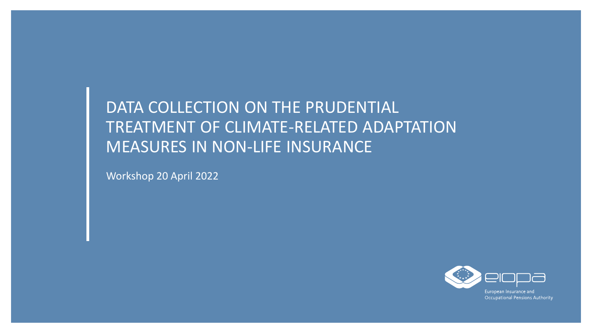# DATA COLLECTION ON THE PRUDENTIAL TREATMENT OF CLIMATE-RELATED ADAPTATION MEASURES IN NON-LIFE INSURANCE

Workshop 20 April 2022

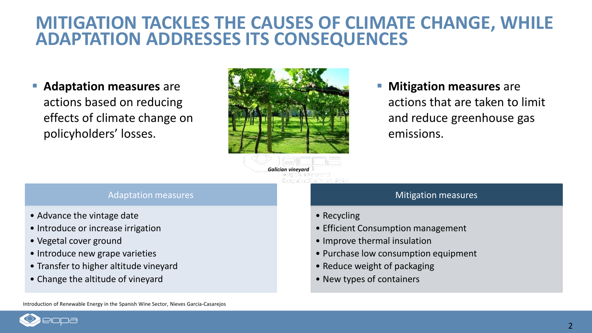## **MITIGATION TACKLES THE CAUSES OF CLIMATE CHANGE, WHILE ADAPTATION ADDRESSES ITS CONSEQUENCES**

 **Adaptation measures** are actions based on reducing effects of climate change on policyholders' losses.



 **Mitigation measures** are actions that are taken to limit and reduce greenhouse gas emissions.

*Galician vineyard*

#### Adaptation measures

- Advance the vintage date
- Introduce or increase irrigation
- Vegetal cover ground
- Introduce new grape varieties
- Transfer to higher altitude vineyard
- Change the altitude of vineyard

#### **Mitigation measures**

- Recycling
- Efficient Consumption management
- Improve thermal insulation
- Purchase low consumption equipment
- Reduce weight of packaging
- New types of containers

Introduction of Renewable Energy in the Spanish Wine Sector, Nieves Garcia-Casarejos

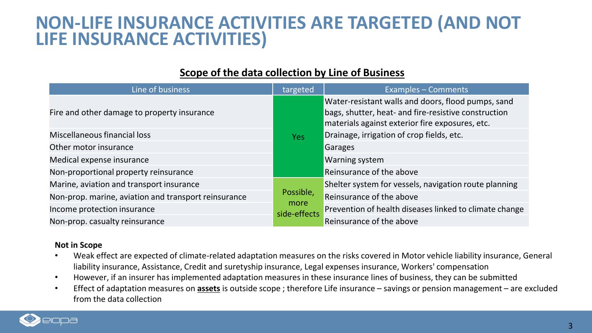# **NON-LIFE INSURANCE ACTIVITIES ARE TARGETED (AND NOT LIFE INSURANCE ACTIVITIES)**

| Line of business                                     | targeted                          | <b>Examples - Comments</b>                                                                                                                                    |
|------------------------------------------------------|-----------------------------------|---------------------------------------------------------------------------------------------------------------------------------------------------------------|
| Fire and other damage to property insurance          |                                   | Water-resistant walls and doors, flood pumps, sand<br>bags, shutter, heat- and fire-resistive construction<br>materials against exterior fire exposures, etc. |
| Miscellaneous financial loss                         | <b>Yes</b>                        | Drainage, irrigation of crop fields, etc.                                                                                                                     |
| Other motor insurance                                |                                   | Garages                                                                                                                                                       |
| Medical expense insurance                            |                                   | <b>Warning system</b>                                                                                                                                         |
| Non-proportional property reinsurance                |                                   | Reinsurance of the above                                                                                                                                      |
| Marine, aviation and transport insurance             | Possible,<br>more<br>side-effects | Shelter system for vessels, navigation route planning                                                                                                         |
| Non-prop. marine, aviation and transport reinsurance |                                   | Reinsurance of the above                                                                                                                                      |
| Income protection insurance                          |                                   | Prevention of health diseases linked to climate change                                                                                                        |
| Non-prop. casualty reinsurance                       |                                   | Reinsurance of the above                                                                                                                                      |

### **Scope of the data collection by Line of Business**

#### **Not in Scope**

- Weak effect are expected of climate-related adaptation measures on the risks covered in Motor vehicle liability insurance, General liability insurance, Assistance, Credit and suretyship insurance, Legal expenses insurance, Workers' compensation
- However, if an insurer has implemented adaptation measures in these insurance lines of business, they can be submitted
- Effect of adaptation measures on **assets** is outside scope ; therefore Life insurance savings or pension management are excluded from the data collection

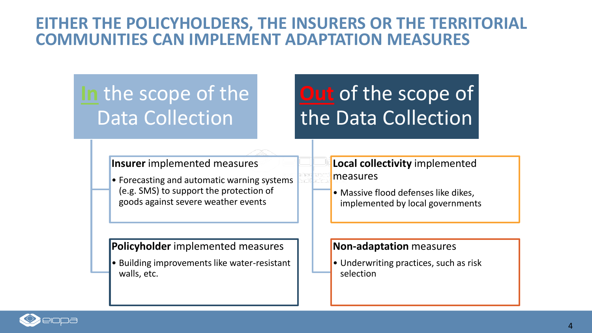### **EITHER THE POLICYHOLDERS, THE INSURERS OR THE TERRITORIAL COMMUNITIES CAN IMPLEMENT ADAPTATION MEASURES**

# **In** the scope of the Data Collection

# **Out** of the scope of the Data Collection

### **Insurer** implemented measures

• Forecasting and automatic warning systems (e.g. SMS) to support the protection of goods against severe weather events

### **Policyholder** implemented measures

• Building improvements like water-resistant walls, etc.

### **Local collectivity** implemented measures

• Massive flood defenses like dikes, implemented by local governments

#### **Non-adaptation** measures

• Underwriting practices, such as risk selection

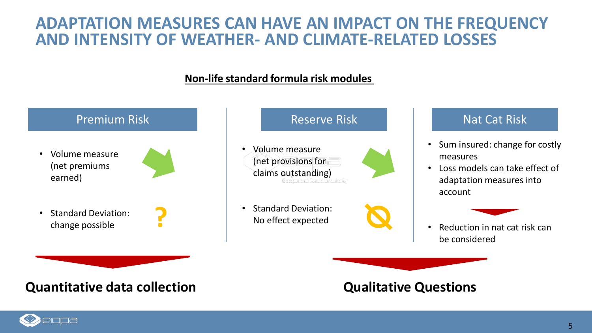### **ADAPTATION MEASURES CAN HAVE AN IMPACT ON THE FREQUENCY AND INTENSITY OF WEATHER- AND CLIMATE-RELATED LOSSES**

### **Non-life standard formula risk modules**



### **Quantitative data collection Qualitative Questions**

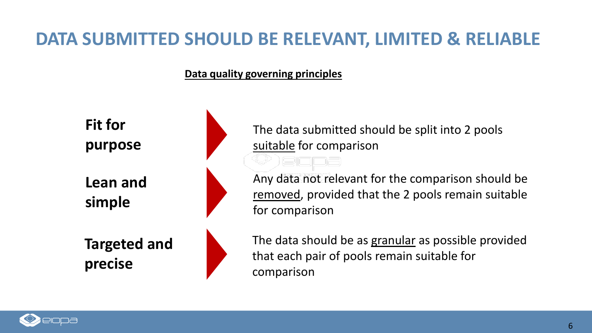# **DATA SUBMITTED SHOULD BE RELEVANT, LIMITED & RELIABLE**

**Data quality governing principles**



The data submitted should be split into 2 pools suitable for comparison

Any data not relevant for the comparison should be removed, provided that the 2 pools remain suitable for comparison

The data should be as granular as possible provided that each pair of pools remain suitable for comparison

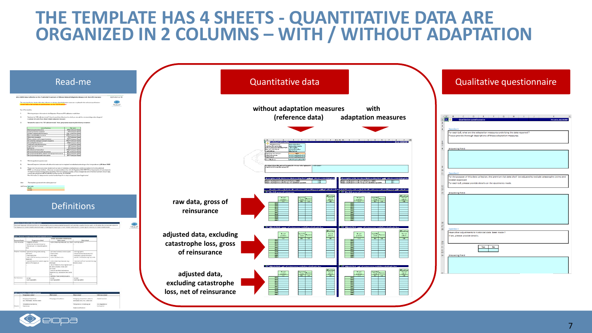## **THE TEMPLATE HAS 4 SHEETS - QUANTITATIVE DATA ARE ORGANIZED IN 2 COLUMNS – WITH / WITHOUT ADAPTATION**

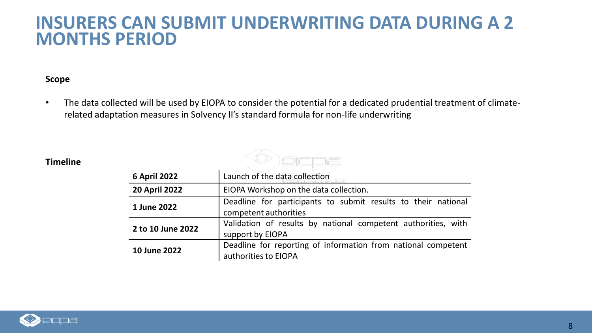### **INSURERS CAN SUBMIT UNDERWRITING DATA DURING A 2 MONTHS PERIOD**

#### **Scope**

• The data collected will be used by EIOPA to consider the potential for a dedicated prudential treatment of climaterelated adaptation measures in Solvency II's standard formula for non-life underwriting

#### **Timeline**

| 6 April 2022         | Launch of the data collection                                                          |  |
|----------------------|----------------------------------------------------------------------------------------|--|
| <b>20 April 2022</b> | EIOPA Workshop on the data collection.                                                 |  |
| 1 June 2022          | Deadline for participants to submit results to their national<br>competent authorities |  |
| 2 to 10 June 2022    | Validation of results by national competent authorities, with<br>support by EIOPA      |  |
| 10 June 2022         | Deadline for reporting of information from national competent<br>authorities to EIOPA  |  |